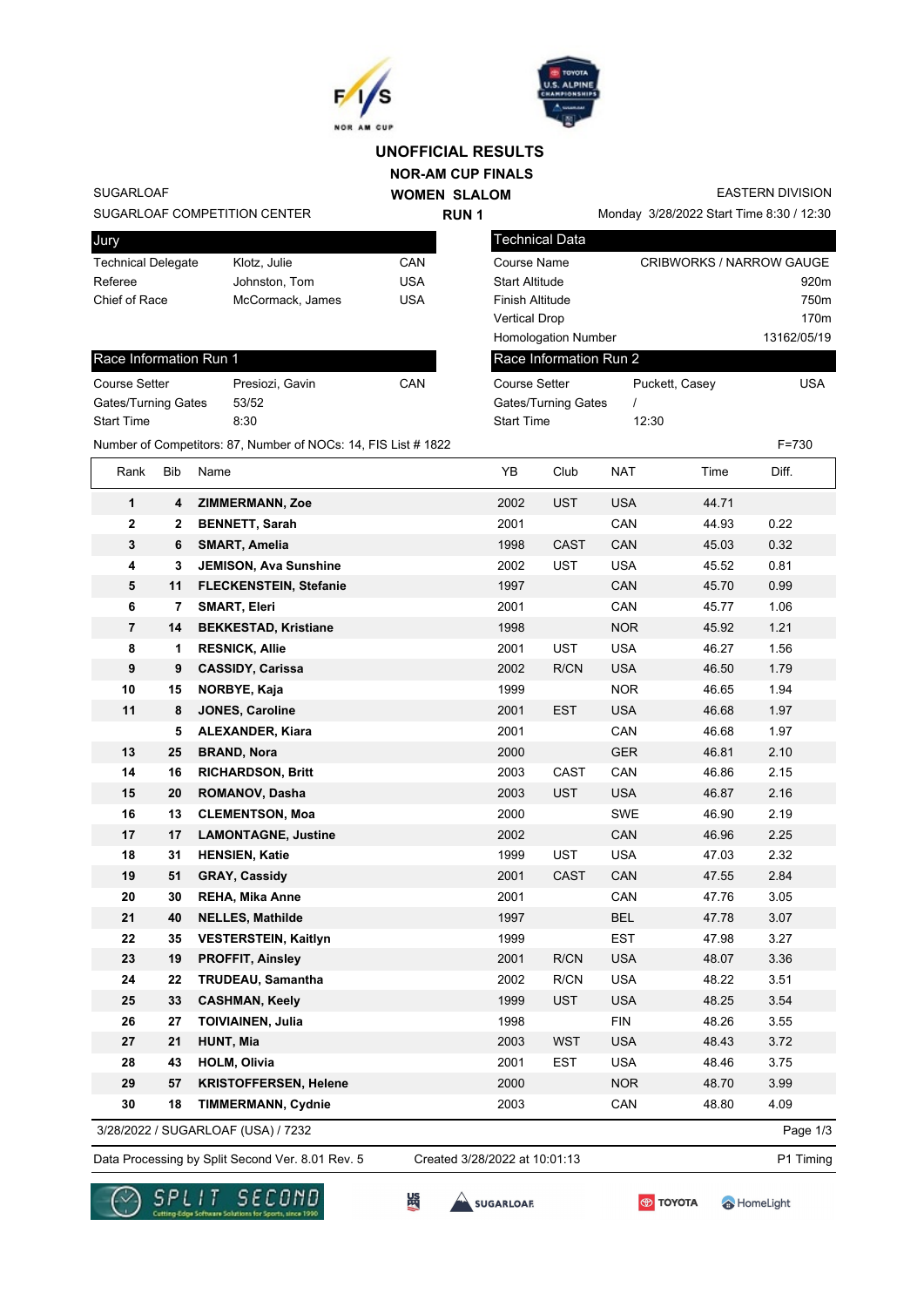



Technical Data

## **NOR-AM CUP FINALS WOMEN SLALOM UNOFFICIAL RESULTS**

**RUN 1**

SUGARLOAF

SUGARLOAF COMPETITION CENTER

| Jury                      |                  |     |
|---------------------------|------------------|-----|
| <b>Technical Delegate</b> | Klotz. Julie     | CAN |
| Referee                   | Johnston, Tom    | USA |
| Chief of Race             | McCormack, James | USA |
|                           |                  |     |

## Race Info Course Set Gates/Turr **Start Time**

EASTERN DIVISION

Monday 3/28/2022 Start Time 8:30 / 12:30

| Technical Delegate         |              |                  | Klotz, Julie                                                   | CAN        | <b>Course Name</b>     |                            |            |                | <b>CRIBWORKS / NARROW GAUGE</b> |  |
|----------------------------|--------------|------------------|----------------------------------------------------------------|------------|------------------------|----------------------------|------------|----------------|---------------------------------|--|
| Referee                    |              |                  | Johnston, Tom                                                  | <b>USA</b> | <b>Start Altitude</b>  |                            |            |                | 920m                            |  |
| Chief of Race              |              |                  | McCormack, James                                               | <b>USA</b> | <b>Finish Altitude</b> |                            |            |                | 750m                            |  |
|                            |              |                  |                                                                |            | <b>Vertical Drop</b>   |                            |            |                | 170m                            |  |
|                            |              |                  |                                                                |            |                        | <b>Homologation Number</b> |            |                | 13162/05/19                     |  |
| Race Information Run 1     |              |                  |                                                                |            |                        | Race Information Run 2     |            |                |                                 |  |
| Course Setter              |              |                  | Presiozi, Gavin                                                | CAN        | <b>Course Setter</b>   |                            |            | Puckett, Casey | <b>USA</b>                      |  |
| <b>Gates/Turning Gates</b> |              |                  | 53/52                                                          |            |                        | <b>Gates/Turning Gates</b> | I          |                |                                 |  |
| Start Time                 |              |                  | 8:30                                                           |            | <b>Start Time</b>      |                            | 12:30      |                |                                 |  |
|                            |              |                  | Number of Competitors: 87, Number of NOCs: 14, FIS List # 1822 |            |                        |                            |            |                | $F = 730$                       |  |
| Rank                       | <b>Bib</b>   | Name             |                                                                |            | YB                     | Club                       | <b>NAT</b> | Time           | Diff.                           |  |
| 1                          | 4            |                  | <b>ZIMMERMANN, Zoe</b>                                         |            | 2002                   | <b>UST</b>                 | <b>USA</b> | 44.71          |                                 |  |
| $\mathbf 2$                | $\mathbf{2}$ |                  | <b>BENNETT, Sarah</b>                                          |            | 2001                   |                            | CAN        | 44.93          | 0.22                            |  |
| 3                          | 6            |                  | <b>SMART, Amelia</b>                                           |            | 1998                   | <b>CAST</b>                | CAN        | 45.03          | 0.32                            |  |
| 4                          | 3            |                  | <b>JEMISON, Ava Sunshine</b>                                   |            | 2002                   | UST                        | <b>USA</b> | 45.52          | 0.81                            |  |
| 5                          | 11           |                  | FLECKENSTEIN, Stefanie                                         |            | 1997                   |                            | CAN        | 45.70          | 0.99                            |  |
| 6                          | 7            |                  | <b>SMART, Eleri</b>                                            |            | 2001                   |                            | CAN        | 45.77          | 1.06                            |  |
| $\overline{7}$             | 14           |                  | <b>BEKKESTAD, Kristiane</b>                                    |            | 1998                   |                            | <b>NOR</b> | 45.92          | 1.21                            |  |
| 8                          | 1            |                  | <b>RESNICK, Allie</b>                                          |            | 2001                   | UST                        | <b>USA</b> | 46.27          | 1.56                            |  |
| 9                          | 9            |                  | <b>CASSIDY, Carissa</b>                                        |            | 2002                   | R/CN                       | <b>USA</b> | 46.50          | 1.79                            |  |
| 10                         | 15           |                  | NORBYE, Kaja                                                   |            | 1999                   |                            | <b>NOR</b> | 46.65          | 1.94                            |  |
| 11                         | 8            |                  | <b>JONES, Caroline</b>                                         |            | 2001                   | <b>EST</b>                 | <b>USA</b> | 46.68          | 1.97                            |  |
|                            | 5            |                  | <b>ALEXANDER, Kiara</b>                                        |            | 2001                   |                            | CAN        | 46.68          | 1.97                            |  |
| 13                         | 25           |                  | <b>BRAND, Nora</b>                                             |            | 2000                   |                            | <b>GER</b> | 46.81          | 2.10                            |  |
| 14                         | 16           |                  | <b>RICHARDSON, Britt</b>                                       |            | 2003                   | CAST                       | CAN        | 46.86          | 2.15                            |  |
| 15                         | 20           |                  | <b>ROMANOV, Dasha</b>                                          |            | 2003                   | <b>UST</b>                 | <b>USA</b> | 46.87          | 2.16                            |  |
| 16                         | 13           |                  | <b>CLEMENTSON, Moa</b>                                         |            | 2000                   |                            | SWE        | 46.90          | 2.19                            |  |
| 17                         | 17           |                  | <b>LAMONTAGNE, Justine</b>                                     |            | 2002                   |                            | CAN        | 46.96          | 2.25                            |  |
| 18                         | 31           |                  | <b>HENSIEN, Katie</b>                                          |            | 1999                   | <b>UST</b>                 | <b>USA</b> | 47.03          | 2.32                            |  |
| 19                         | 51           |                  | <b>GRAY, Cassidy</b>                                           |            | 2001                   | <b>CAST</b>                | CAN        | 47.55          | 2.84                            |  |
| 20                         | 30           |                  | <b>REHA, Mika Anne</b>                                         |            | 2001                   |                            | CAN        | 47.76          | 3.05                            |  |
| 21                         | 40           |                  | <b>NELLES, Mathilde</b>                                        |            | 1997                   |                            | <b>BEL</b> | 47.78          | 3.07                            |  |
| 22                         | 35           |                  | <b>VESTERSTEIN, Kaitlyn</b>                                    |            | 1999                   |                            | <b>EST</b> | 47.98          | 3.27                            |  |
| 23                         | 19           |                  | <b>PROFFIT, Ainsley</b>                                        |            | 2001                   | R/CN                       | <b>USA</b> | 48.07          | 3.36                            |  |
| 24                         | 22           |                  | <b>TRUDEAU, Samantha</b>                                       |            | 2002                   | R/CN                       | <b>USA</b> | 48.22          | 3.51                            |  |
| 25                         | 33           |                  | <b>CASHMAN, Keely</b>                                          |            | 1999                   | <b>UST</b>                 | <b>USA</b> | 48.25          | 3.54                            |  |
| 26                         | 27           |                  | <b>TOIVIAINEN, Julia</b>                                       |            | 1998                   |                            | <b>FIN</b> | 48.26          | 3.55                            |  |
| 27                         | 21           | <b>HUNT, Mia</b> |                                                                |            | 2003                   | <b>WST</b>                 | <b>USA</b> | 48.43          | 3.72                            |  |

3/28/2022 / SUGARLOAF (USA) / 7232

Data Processing by Split Second Ver. 8.01 Rev. 5 Created 3/28/2022 at 10:01:13 P1 Timing Created 3/28/2022 at 10:01:13



SUGARLOAR

监

**28 43 HOLM, Olivia** 2001 EST USA 48.46 3.75 **29 57 KRISTOFFERSEN, Helene** 2000 NOR 48.70 3.99 **30 18 TIMMERMANN, Cydnie** 2003 CAN 48.80 4.09

**TOYOTA** 

HomeLight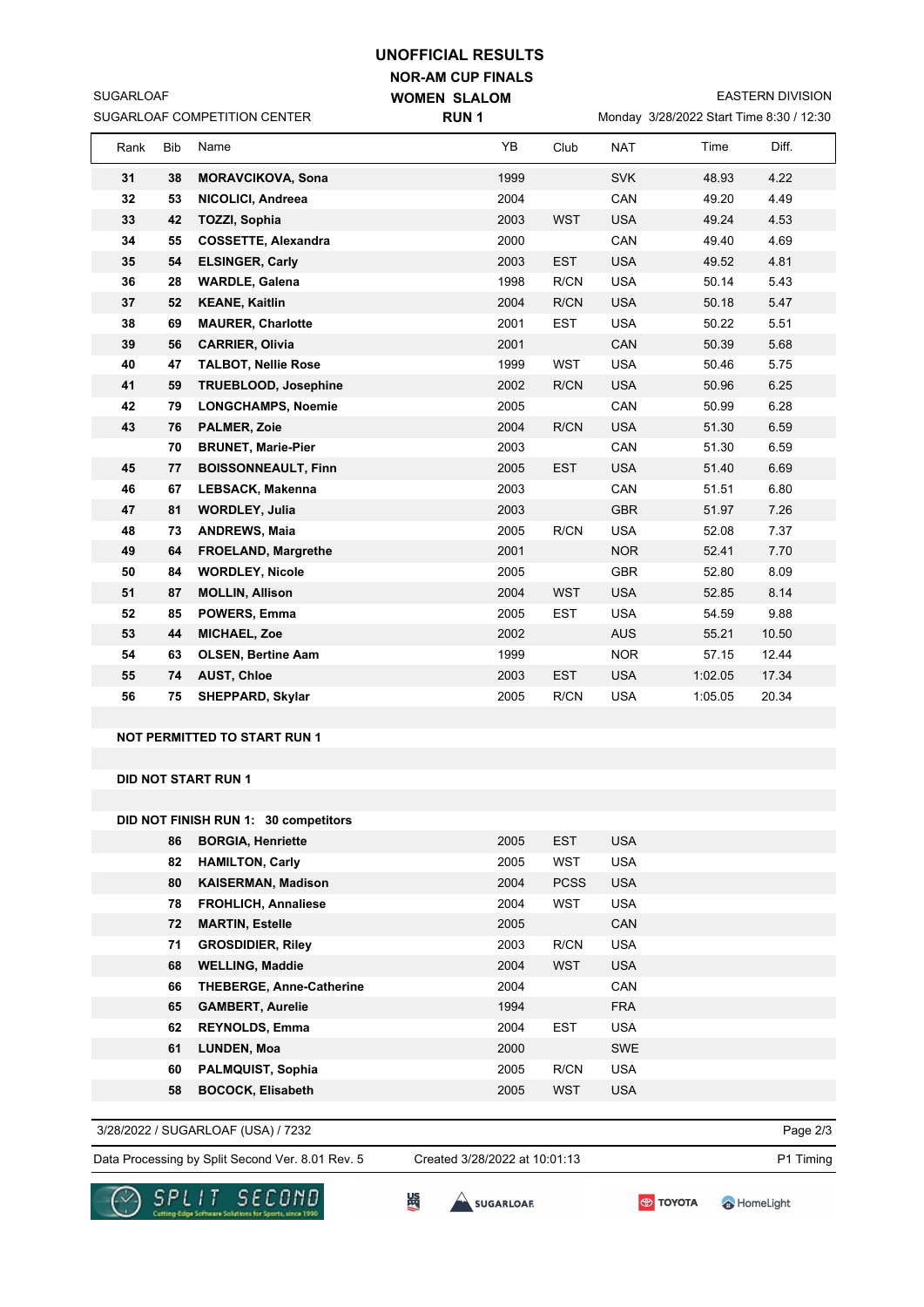## **UNOFFICIAL RESULTS**

|                              | <b>NOR-AM CUP FINALS</b> |            |                            |                     |                                          |                         |       |       |  |  |
|------------------------------|--------------------------|------------|----------------------------|---------------------|------------------------------------------|-------------------------|-------|-------|--|--|
| <b>SUGARLOAF</b>             |                          |            |                            | <b>WOMEN SLALOM</b> |                                          | <b>EASTERN DIVISION</b> |       |       |  |  |
| SUGARLOAF COMPETITION CENTER |                          |            | <b>RUN1</b>                |                     | Monday 3/28/2022 Start Time 8:30 / 12:30 |                         |       |       |  |  |
|                              | Rank                     | <b>Bib</b> | Name                       | YB                  | Club                                     | <b>NAT</b>              | Time  | Diff. |  |  |
|                              | 31                       | 38         | <b>MORAVCIKOVA, Sona</b>   | 1999                |                                          | <b>SVK</b>              | 48.93 | 4.22  |  |  |
|                              | 32                       | 53         | NICOLICI, Andreea          | 2004                |                                          | CAN                     | 49.20 | 4.49  |  |  |
|                              | 33                       | 42         | <b>TOZZI, Sophia</b>       | 2003                | <b>WST</b>                               | <b>USA</b>              | 49.24 | 4.53  |  |  |
|                              | 34                       | 55         | <b>COSSETTE, Alexandra</b> | 2000                |                                          | CAN                     | 49.40 | 4.69  |  |  |
|                              | 35                       | 54         | <b>ELSINGER, Carly</b>     | 2003                | <b>EST</b>                               | <b>USA</b>              | 49.52 | 4.81  |  |  |
|                              | 36                       | 28         | <b>WARDLE, Galena</b>      | 1998                | R/CN                                     | <b>USA</b>              | 50.14 | 5.43  |  |  |
|                              | 37                       | 52         | <b>KEANE, Kaitlin</b>      | 2004                | R/CN                                     | <b>USA</b>              | 50.18 | 5.47  |  |  |
|                              | 38                       | 69         | <b>MAURER, Charlotte</b>   | 2001                | <b>EST</b>                               | <b>USA</b>              | 50.22 | 5.51  |  |  |
|                              | 39                       | 56         | <b>CARRIER, Olivia</b>     | 2001                |                                          | CAN                     | 50.39 | 5.68  |  |  |

**40 47 TALBOT, Nellie Rose** 1999 WST USA 50.46 5.75

| 41 | 59 | <b>TRUEBLOOD, Josephine</b> | 2002 | R/CN       | <b>USA</b> | 50.96   | 6.25  |
|----|----|-----------------------------|------|------------|------------|---------|-------|
| 42 | 79 | <b>LONGCHAMPS, Noemie</b>   | 2005 |            | CAN        | 50.99   | 6.28  |
| 43 | 76 | <b>PALMER, Zoie</b>         | 2004 | R/CN       | <b>USA</b> | 51.30   | 6.59  |
|    | 70 | <b>BRUNET, Marie-Pier</b>   | 2003 |            | CAN        | 51.30   | 6.59  |
| 45 | 77 | <b>BOISSONNEAULT, Finn</b>  | 2005 | <b>EST</b> | <b>USA</b> | 51.40   | 6.69  |
| 46 | 67 | <b>LEBSACK, Makenna</b>     | 2003 |            | CAN        | 51.51   | 6.80  |
| 47 | 81 | <b>WORDLEY, Julia</b>       | 2003 |            | <b>GBR</b> | 51.97   | 7.26  |
| 48 | 73 | <b>ANDREWS, Maia</b>        | 2005 | R/CN       | <b>USA</b> | 52.08   | 7.37  |
| 49 | 64 | <b>FROELAND, Margrethe</b>  | 2001 |            | NOR.       | 52.41   | 7.70  |
| 50 | 84 | <b>WORDLEY, Nicole</b>      | 2005 |            | <b>GBR</b> | 52.80   | 8.09  |
| 51 | 87 | <b>MOLLIN, Allison</b>      | 2004 | <b>WST</b> | <b>USA</b> | 52.85   | 8.14  |
| 52 | 85 | <b>POWERS, Emma</b>         | 2005 | <b>EST</b> | <b>USA</b> | 54.59   | 9.88  |
| 53 | 44 | <b>MICHAEL, Zoe</b>         | 2002 |            | <b>AUS</b> | 55.21   | 10.50 |
| 54 | 63 | <b>OLSEN, Bertine Aam</b>   | 1999 |            | NOR.       | 57.15   | 12.44 |
| 55 | 74 | <b>AUST, Chloe</b>          | 2003 | <b>EST</b> | <b>USA</b> | 1:02.05 | 17.34 |
| 56 | 75 | <b>SHEPPARD, Skylar</b>     | 2005 | R/CN       | <b>USA</b> | 1:05.05 | 20.34 |

**NOT PERMITTED TO START RUN 1**

**DID NOT START RUN 1**

**DID NOT FINISH RUN 1: 30 competitors**

| 86 | <b>BORGIA, Henriette</b>        | 2005 | <b>EST</b>  | <b>USA</b> |
|----|---------------------------------|------|-------------|------------|
| 82 | <b>HAMILTON, Carly</b>          | 2005 | <b>WST</b>  | <b>USA</b> |
| 80 | <b>KAISERMAN, Madison</b>       | 2004 | <b>PCSS</b> | <b>USA</b> |
| 78 | <b>FROHLICH, Annaliese</b>      | 2004 | WST         | <b>USA</b> |
| 72 | <b>MARTIN, Estelle</b>          | 2005 |             | <b>CAN</b> |
| 71 | <b>GROSDIDIER, Riley</b>        | 2003 | R/CN        | <b>USA</b> |
| 68 | <b>WELLING, Maddie</b>          | 2004 | <b>WST</b>  | <b>USA</b> |
| 66 | <b>THEBERGE, Anne-Catherine</b> | 2004 |             | <b>CAN</b> |
| 65 | <b>GAMBERT, Aurelie</b>         | 1994 |             | <b>FRA</b> |
| 62 | <b>REYNOLDS, Emma</b>           | 2004 | <b>EST</b>  | <b>USA</b> |
| 61 | <b>LUNDEN, Moa</b>              | 2000 |             | <b>SWE</b> |
| 60 | <b>PALMQUIST, Sophia</b>        | 2005 | R/CN        | <b>USA</b> |
| 58 | <b>BOCOCK, Elisabeth</b>        | 2005 | <b>WST</b>  | <b>USA</b> |

3/28/2022 / SUGARLOAF (USA) / 7232

Data Processing by Split Second Ver. 8.01 Rev. 5 Created 3/28/2022 at 10:01:13 P1 Timing Created 3/28/2022 at 10:01:13





**SES** 

$$
\bigcirc \hspace{-4.5mm} \bullet
$$
 to 
$$
\hspace{1.5mm} \bullet
$$

HomeLight